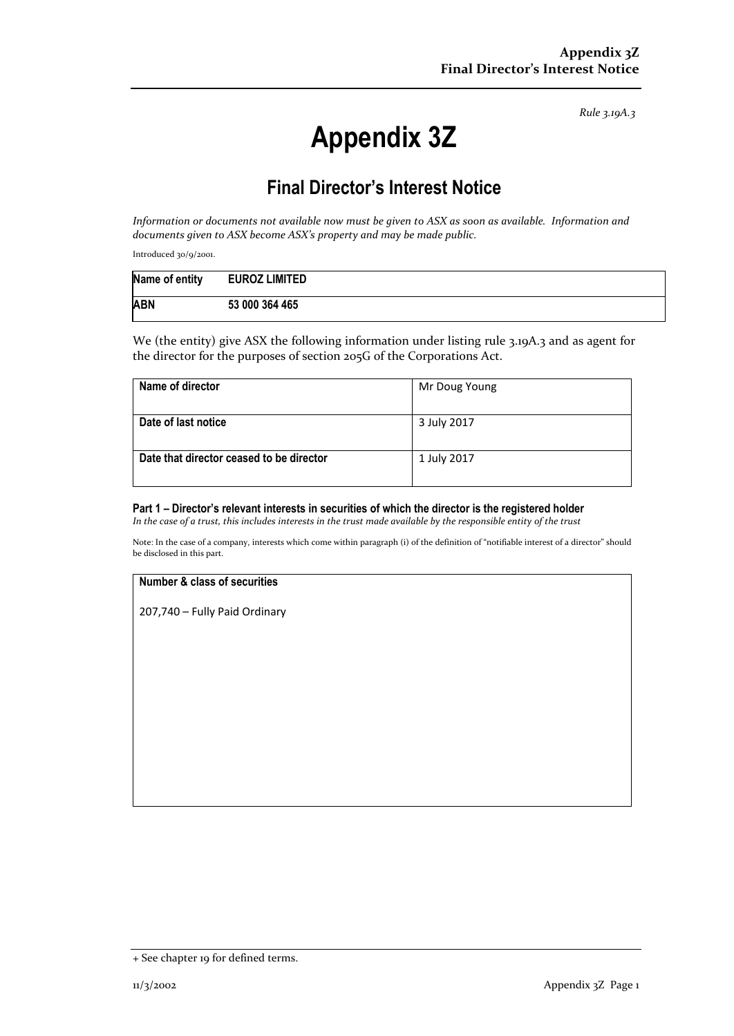*Rule 3.19A.3*

# **Appendix 3Z**

## **Final Director's Interest Notice**

*Information or documents not available now must be given to ASX as soon as available. Information and documents given to ASX become ASX's property and may be made public.*

Introduced 30/9/2001.

| Name of entity | <b>EUROZ LIMITED</b> |
|----------------|----------------------|
| <b>ABN</b>     | 53 000 364 465       |

We (the entity) give ASX the following information under listing rule 3.19A.3 and as agent for the director for the purposes of section 205G of the Corporations Act.

| Name of director                         | Mr Doug Young |
|------------------------------------------|---------------|
| Date of last notice                      | 3 July 2017   |
| Date that director ceased to be director | 1 July 2017   |

#### **Part 1 – Director's relevant interests in securities of which the director is the registered holder**

*In the case of a trust, this includes interests in the trust made available by the responsible entity of the trust*

Note: In the case of a company, interests which come within paragraph (i) of the definition of "notifiable interest of a director" should be disclosed in this part.

#### **Number & class of securities**

207,740 – Fully Paid Ordinary

<sup>+</sup> See chapter 19 for defined terms.